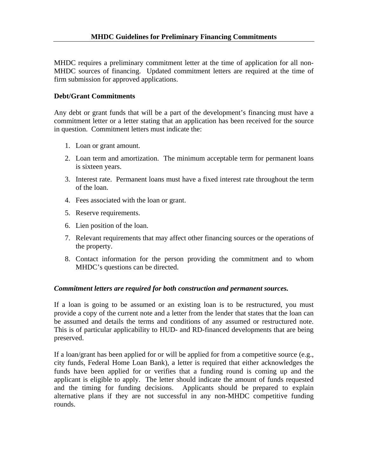MHDC requires a preliminary commitment letter at the time of application for all non-MHDC sources of financing. Updated commitment letters are required at the time of firm submission for approved applications.

## **Debt/Grant Commitments**

Any debt or grant funds that will be a part of the development's financing must have a commitment letter or a letter stating that an application has been received for the source in question. Commitment letters must indicate the:

- 1. Loan or grant amount.
- 2. Loan term and amortization. The minimum acceptable term for permanent loans is sixteen years.
- 3. Interest rate. Permanent loans must have a fixed interest rate throughout the term of the loan.
- 4. Fees associated with the loan or grant.
- 5. Reserve requirements.
- 6. Lien position of the loan.
- 7. Relevant requirements that may affect other financing sources or the operations of the property.
- 8. Contact information for the person providing the commitment and to whom MHDC's questions can be directed.

## *Commitment letters are required for both construction and permanent sources.*

If a loan is going to be assumed or an existing loan is to be restructured, you must provide a copy of the current note and a letter from the lender that states that the loan can be assumed and details the terms and conditions of any assumed or restructured note. This is of particular applicability to HUD- and RD-financed developments that are being preserved.

If a loan/grant has been applied for or will be applied for from a competitive source  $(e.g.,)$ city funds, Federal Home Loan Bank), a letter is required that either acknowledges the funds have been applied for or verifies that a funding round is coming up and the applicant is eligible to apply. The letter should indicate the amount of funds requested and the timing for funding decisions. Applicants should be prepared to explain alternative plans if they are not successful in any non-MHDC competitive funding rounds.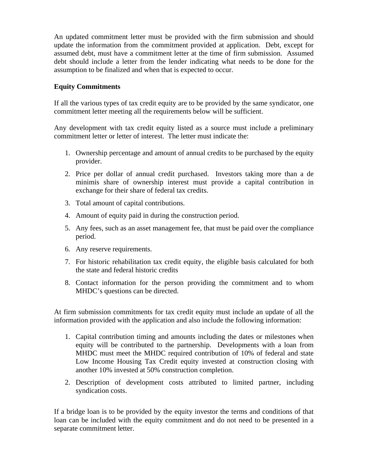An updated commitment letter must be provided with the firm submission and should update the information from the commitment provided at application. Debt, except for assumed debt, must have a commitment letter at the time of firm submission. Assumed debt should include a letter from the lender indicating what needs to be done for the assumption to be finalized and when that is expected to occur.

## **Equity Commitments**

If all the various types of tax credit equity are to be provided by the same syndicator, one commitment letter meeting all the requirements below will be sufficient.

Any development with tax credit equity listed as a source must include a preliminary commitment letter or letter of interest. The letter must indicate the:

- 1. Ownership percentage and amount of annual credits to be purchased by the equity provider.
- 2. Price per dollar of annual credit purchased. Investors taking more than a de minimis share of ownership interest must provide a capital contribution in exchange for their share of federal tax credits.
- 3. Total amount of capital contributions.
- 4. Amount of equity paid in during the construction period.
- 5. Any fees, such as an asset management fee, that must be paid over the compliance period.
- 6. Any reserve requirements.
- 7. For historic rehabilitation tax credit equity, the eligible basis calculated for both the state and federal historic credits
- 8. Contact information for the person providing the commitment and to whom MHDC's questions can be directed.

At firm submission commitments for tax credit equity must include an update of all the information provided with the application and also include the following information:

- 1. Capital contribution timing and amounts including the dates or milestones when equity will be contributed to the partnership. Developments with a loan from MHDC must meet the MHDC required contribution of 10% of federal and state Low Income Housing Tax Credit equity invested at construction closing with another 10% invested at 50% construction completion.
- 2. Description of development costs attributed to limited partner, including syndication costs.

If a bridge loan is to be provided by the equity investor the terms and conditions of that loan can be included with the equity commitment and do not need to be presented in a separate commitment letter.